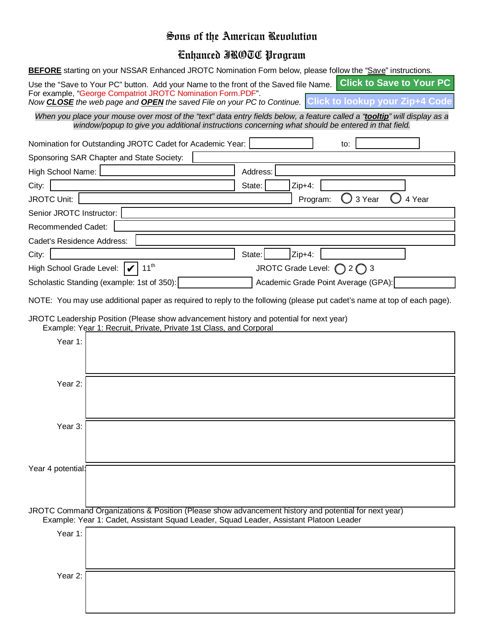## Sons of the American Revolution

## Enhanced JROTC Program

**BEFORE** starting on your NSSAR Enhanced JROTC Nomination Form below, please follow the "Save" instructions.

| Use the "Save to Your PC" button. Add your Name to the front of the Saved file Name. Click to Save to Your PC |  |
|---------------------------------------------------------------------------------------------------------------|--|
| For example, "George Compatriot JROTC Nomination Form.PDF"                                                    |  |
| Now CLOSE the web page and OPEN the saved File on your PC to Continue. Click to lookup your Zip+4 Code        |  |

*When you place your mouse over most of the "text" data entry fields below, a feature called a "tooltip" will display as a window/popup to give you additional instructions concerning what should be entered in that field.*

| Nomination for Outstanding JROTC Cadet for Academic Year:                                                                                                     | to:                                                                                                                     |
|---------------------------------------------------------------------------------------------------------------------------------------------------------------|-------------------------------------------------------------------------------------------------------------------------|
| Sponsoring SAR Chapter and State Society:                                                                                                                     |                                                                                                                         |
| High School Name:                                                                                                                                             | Address:                                                                                                                |
| City:                                                                                                                                                         | State:<br>$Zip+4:$                                                                                                      |
| <b>JROTC Unit:</b>                                                                                                                                            | 3 Year<br>4 Year<br>Program:                                                                                            |
| Senior JROTC Instructor:                                                                                                                                      |                                                                                                                         |
| Recommended Cadet:                                                                                                                                            |                                                                                                                         |
| Cadet's Residence Address:                                                                                                                                    |                                                                                                                         |
| City:                                                                                                                                                         | State:<br>Zip+4:                                                                                                        |
| $11^{th}$<br>High School Grade Level:                                                                                                                         | JROTC Grade Level: $\bigcap 2 \bigcap 3$                                                                                |
| Scholastic Standing (example: 1st of 350):                                                                                                                    | Academic Grade Point Average (GPA):                                                                                     |
|                                                                                                                                                               | NOTE: You may use additional paper as required to reply to the following (please put cadet's name at top of each page). |
| JROTC Leadership Position (Please show advancement history and potential for next year)<br>Example: Year 1: Recruit, Private, Private 1st Class, and Corporal |                                                                                                                         |
| Year 1:                                                                                                                                                       |                                                                                                                         |
|                                                                                                                                                               |                                                                                                                         |
|                                                                                                                                                               |                                                                                                                         |
| Year 2:                                                                                                                                                       |                                                                                                                         |
|                                                                                                                                                               |                                                                                                                         |
|                                                                                                                                                               |                                                                                                                         |
| Year 3:                                                                                                                                                       |                                                                                                                         |
|                                                                                                                                                               |                                                                                                                         |
|                                                                                                                                                               |                                                                                                                         |
| Year 4 potential:                                                                                                                                             |                                                                                                                         |
|                                                                                                                                                               |                                                                                                                         |
|                                                                                                                                                               |                                                                                                                         |
|                                                                                                                                                               | JROTC Command Organizations & Position (Please show advancement history and potential for next year)                    |
| Example: Year 1: Cadet, Assistant Squad Leader, Squad Leader, Assistant Platoon Leader                                                                        |                                                                                                                         |
| Year 1:                                                                                                                                                       |                                                                                                                         |
|                                                                                                                                                               |                                                                                                                         |
|                                                                                                                                                               |                                                                                                                         |
| Year 2:                                                                                                                                                       |                                                                                                                         |
|                                                                                                                                                               |                                                                                                                         |
|                                                                                                                                                               |                                                                                                                         |